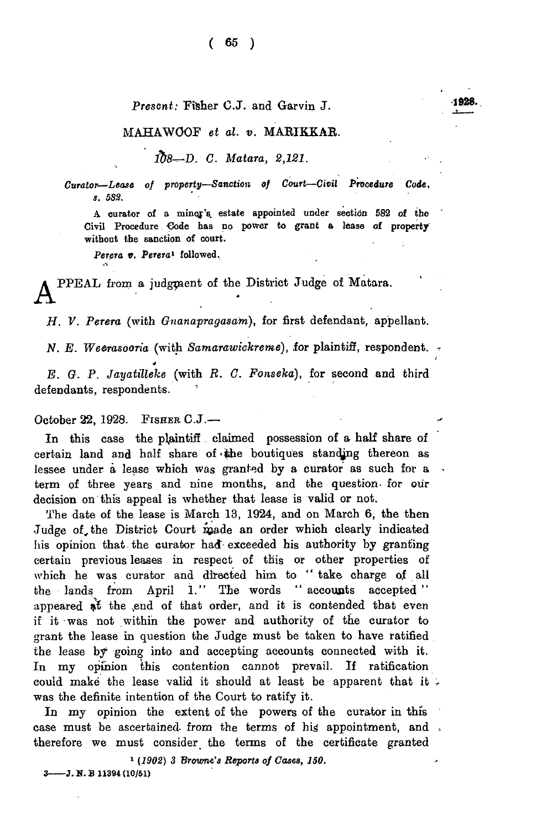## *Prescnt:* Fisher C.J. and Garvin J.

## MAHAWOOF *et al. v.* MARIKKAR.

*ib8-^-D. C. Matara, 2,121.*

*Curator—Lease of property—Sanction of Court—Civil Procedure Code, s. 5S3.*

A curator of a minor's estate appointed under section 582 of the Civil Procedure Code has no power to grant a lease of property without the sanction of court.

Perera v. Perera<sup>1</sup> followed.

PPEAL from a judgment of the District Judge of Matara.

*H. V. Perera* (with *Gnanapragasam),* for first defendant, appellant.

*N. E. Weerasooria* (with *Samarawickreme), lor* plaintiff, respondent. \*

*E. G. P. Jayatilleke* (with *R. C. Fonseka),* for second and third defendants, respondents.

October  $22$ , 1928. FISHER C.J.-

In this case the plaintiff claimed possession of a half share of certain land and half share of the boutiques standing thereon as lessee under a lease which was granted by a curator as such for a term of three years and nine months, and the question- for our decision on this appeal is whether that lease is valid or not.

The date of the lease is March 13, 1924, and on March 6, the then Judge of, the District Court made an order which clearly indicated his opinion that the curator had exceeded his authority by granting certain previous leases in respect of this or other properties of which he was curator and directed him to "take charge of all the lands from April 1." The words " accounts accepted " appeared at the end of that order, and it is contended that even if it was not within the power and authority of the curator to grant the lease in question the Judge must be taken to have ratified the lease by going into and accepting accounts connected with it. In my opinion this contention cannot prevail. If ratification could make the lease valid it should at least be apparent that it. was the definite intention of the Court to ratify it.

In my opinion the extent of the powers of the curator in this case must be ascertained from the terms of his appointment, and . therefore we must consider the terms of the certificate granted

1 *(1902) 3 Browne's Reports of Cases, 150.* 3----- J. N. B 11394 (10/51)